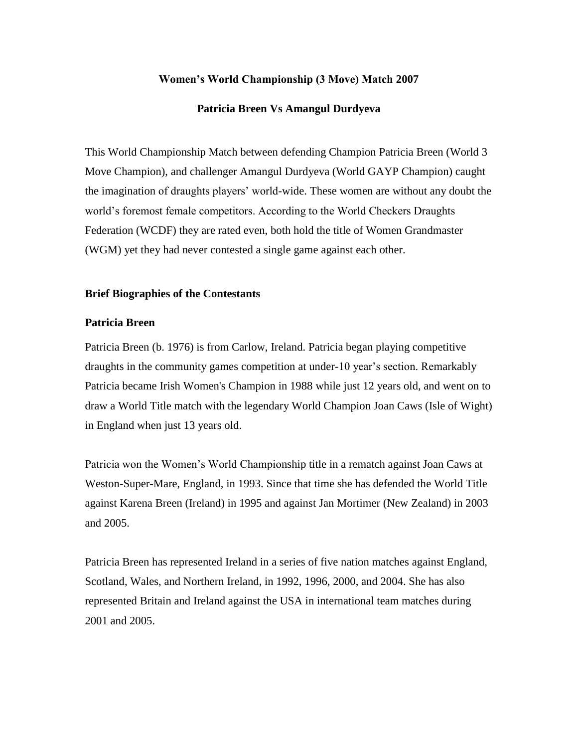# **Women's World Championship (3 Move) Match 2007**

# **Patricia Breen Vs Amangul Durdyeva**

This World Championship Match between defending Champion Patricia Breen (World 3 Move Champion), and challenger Amangul Durdyeva (World GAYP Champion) caught the imagination of draughts players' world-wide. These women are without any doubt the world's foremost female competitors. According to the World Checkers Draughts Federation (WCDF) they are rated even, both hold the title of Women Grandmaster (WGM) yet they had never contested a single game against each other.

#### **Brief Biographies of the Contestants**

# **Patricia Breen**

Patricia Breen (b. 1976) is from Carlow, Ireland. Patricia began playing competitive draughts in the community games competition at under-10 year's section. Remarkably Patricia became Irish Women's Champion in 1988 while just 12 years old, and went on to draw a World Title match with the legendary World Champion Joan Caws (Isle of Wight) in England when just 13 years old.

Patricia won the Women's World Championship title in a rematch against Joan Caws at Weston-Super-Mare, England, in 1993. Since that time she has defended the World Title against Karena Breen (Ireland) in 1995 and against Jan Mortimer (New Zealand) in 2003 and 2005.

Patricia Breen has represented Ireland in a series of five nation matches against England, Scotland, Wales, and Northern Ireland, in 1992, 1996, 2000, and 2004. She has also represented Britain and Ireland against the USA in international team matches during 2001 and 2005.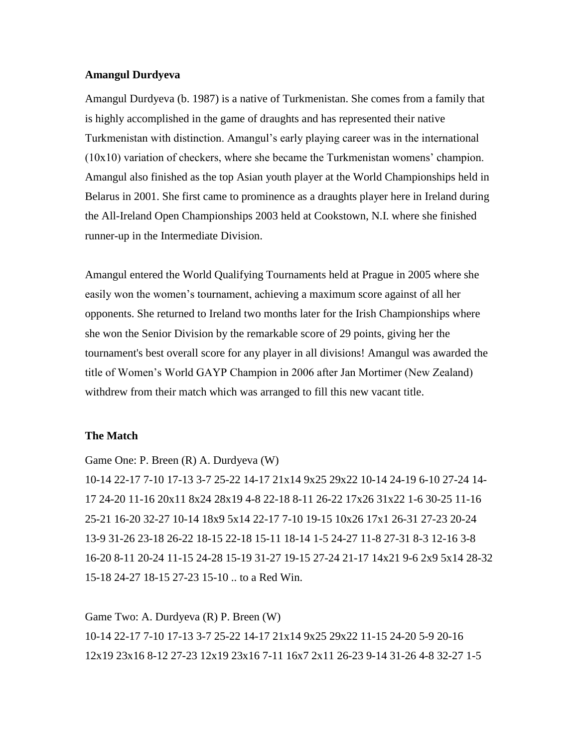# **Amangul Durdyeva**

Amangul Durdyeva (b. 1987) is a native of Turkmenistan. She comes from a family that is highly accomplished in the game of draughts and has represented their native Turkmenistan with distinction. Amangul's early playing career was in the international (10x10) variation of checkers, where she became the Turkmenistan womens' champion. Amangul also finished as the top Asian youth player at the World Championships held in Belarus in 2001. She first came to prominence as a draughts player here in Ireland during the All-Ireland Open Championships 2003 held at Cookstown, N.I. where she finished runner-up in the Intermediate Division.

Amangul entered the World Qualifying Tournaments held at Prague in 2005 where she easily won the women's tournament, achieving a maximum score against of all her opponents. She returned to Ireland two months later for the Irish Championships where she won the Senior Division by the remarkable score of 29 points, giving her the tournament's best overall score for any player in all divisions! Amangul was awarded the title of Women's World GAYP Champion in 2006 after Jan Mortimer (New Zealand) withdrew from their match which was arranged to fill this new vacant title.

# **The Match**

Game One: P. Breen (R) A. Durdyeva (W)

10-14 22-17 7-10 17-13 3-7 25-22 14-17 21x14 9x25 29x22 10-14 24-19 6-10 27-24 14- 17 24-20 11-16 20x11 8x24 28x19 4-8 22-18 8-11 26-22 17x26 31x22 1-6 30-25 11-16 25-21 16-20 32-27 10-14 18x9 5x14 22-17 7-10 19-15 10x26 17x1 26-31 27-23 20-24 13-9 31-26 23-18 26-22 18-15 22-18 15-11 18-14 1-5 24-27 11-8 27-31 8-3 12-16 3-8 16-20 8-11 20-24 11-15 24-28 15-19 31-27 19-15 27-24 21-17 14x21 9-6 2x9 5x14 28-32 15-18 24-27 18-15 27-23 15-10 .. to a Red Win.

Game Two: A. Durdyeva (R) P. Breen (W) 10-14 22-17 7-10 17-13 3-7 25-22 14-17 21x14 9x25 29x22 11-15 24-20 5-9 20-16 12x19 23x16 8-12 27-23 12x19 23x16 7-11 16x7 2x11 26-23 9-14 31-26 4-8 32-27 1-5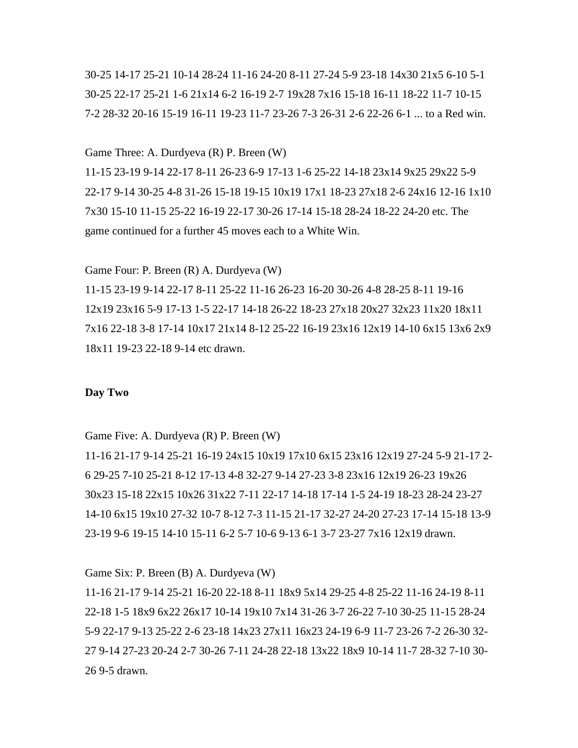30-25 14-17 25-21 10-14 28-24 11-16 24-20 8-11 27-24 5-9 23-18 14x30 21x5 6-10 5-1 30-25 22-17 25-21 1-6 21x14 6-2 16-19 2-7 19x28 7x16 15-18 16-11 18-22 11-7 10-15 7-2 28-32 20-16 15-19 16-11 19-23 11-7 23-26 7-3 26-31 2-6 22-26 6-1 ... to a Red win.

#### Game Three: A. Durdyeva (R) P. Breen (W)

11-15 23-19 9-14 22-17 8-11 26-23 6-9 17-13 1-6 25-22 14-18 23x14 9x25 29x22 5-9 22-17 9-14 30-25 4-8 31-26 15-18 19-15 10x19 17x1 18-23 27x18 2-6 24x16 12-16 1x10 7x30 15-10 11-15 25-22 16-19 22-17 30-26 17-14 15-18 28-24 18-22 24-20 etc. The game continued for a further 45 moves each to a White Win.

Game Four: P. Breen (R) A. Durdyeva (W)

11-15 23-19 9-14 22-17 8-11 25-22 11-16 26-23 16-20 30-26 4-8 28-25 8-11 19-16 12x19 23x16 5-9 17-13 1-5 22-17 14-18 26-22 18-23 27x18 20x27 32x23 11x20 18x11 7x16 22-18 3-8 17-14 10x17 21x14 8-12 25-22 16-19 23x16 12x19 14-10 6x15 13x6 2x9 18x11 19-23 22-18 9-14 etc drawn.

# **Day Two**

Game Five: A. Durdyeva (R) P. Breen (W)

11-16 21-17 9-14 25-21 16-19 24x15 10x19 17x10 6x15 23x16 12x19 27-24 5-9 21-17 2- 6 29-25 7-10 25-21 8-12 17-13 4-8 32-27 9-14 27-23 3-8 23x16 12x19 26-23 19x26 30x23 15-18 22x15 10x26 31x22 7-11 22-17 14-18 17-14 1-5 24-19 18-23 28-24 23-27 14-10 6x15 19x10 27-32 10-7 8-12 7-3 11-15 21-17 32-27 24-20 27-23 17-14 15-18 13-9 23-19 9-6 19-15 14-10 15-11 6-2 5-7 10-6 9-13 6-1 3-7 23-27 7x16 12x19 drawn.

### Game Six: P. Breen (B) A. Durdyeva (W)

11-16 21-17 9-14 25-21 16-20 22-18 8-11 18x9 5x14 29-25 4-8 25-22 11-16 24-19 8-11 22-18 1-5 18x9 6x22 26x17 10-14 19x10 7x14 31-26 3-7 26-22 7-10 30-25 11-15 28-24 5-9 22-17 9-13 25-22 2-6 23-18 14x23 27x11 16x23 24-19 6-9 11-7 23-26 7-2 26-30 32- 27 9-14 27-23 20-24 2-7 30-26 7-11 24-28 22-18 13x22 18x9 10-14 11-7 28-32 7-10 30- 26 9-5 drawn.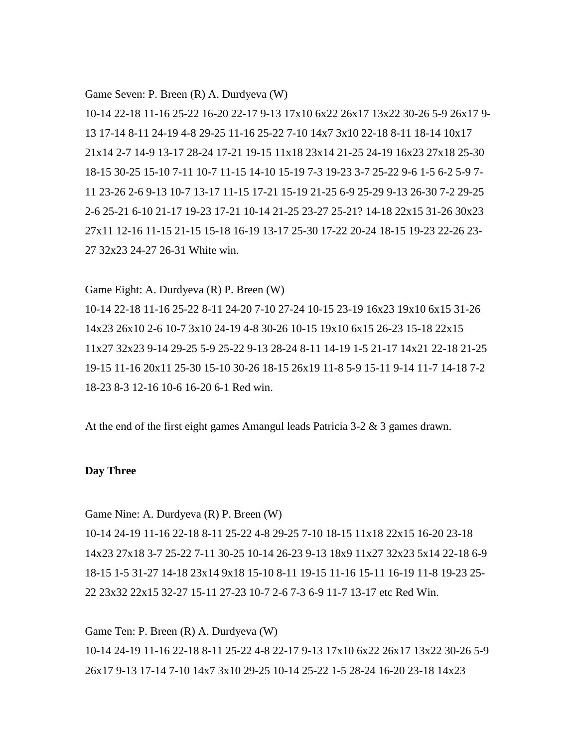#### Game Seven: P. Breen (R) A. Durdyeva (W)

10-14 22-18 11-16 25-22 16-20 22-17 9-13 17x10 6x22 26x17 13x22 30-26 5-9 26x17 9- 13 17-14 8-11 24-19 4-8 29-25 11-16 25-22 7-10 14x7 3x10 22-18 8-11 18-14 10x17 21x14 2-7 14-9 13-17 28-24 17-21 19-15 11x18 23x14 21-25 24-19 16x23 27x18 25-30 18-15 30-25 15-10 7-11 10-7 11-15 14-10 15-19 7-3 19-23 3-7 25-22 9-6 1-5 6-2 5-9 7- 11 23-26 2-6 9-13 10-7 13-17 11-15 17-21 15-19 21-25 6-9 25-29 9-13 26-30 7-2 29-25 2-6 25-21 6-10 21-17 19-23 17-21 10-14 21-25 23-27 25-21? 14-18 22x15 31-26 30x23 27x11 12-16 11-15 21-15 15-18 16-19 13-17 25-30 17-22 20-24 18-15 19-23 22-26 23- 27 32x23 24-27 26-31 White win.

Game Eight: A. Durdyeva (R) P. Breen (W)

10-14 22-18 11-16 25-22 8-11 24-20 7-10 27-24 10-15 23-19 16x23 19x10 6x15 31-26 14x23 26x10 2-6 10-7 3x10 24-19 4-8 30-26 10-15 19x10 6x15 26-23 15-18 22x15 11x27 32x23 9-14 29-25 5-9 25-22 9-13 28-24 8-11 14-19 1-5 21-17 14x21 22-18 21-25 19-15 11-16 20x11 25-30 15-10 30-26 18-15 26x19 11-8 5-9 15-11 9-14 11-7 14-18 7-2 18-23 8-3 12-16 10-6 16-20 6-1 Red win.

At the end of the first eight games Amangul leads Patricia 3-2 & 3 games drawn.

# **Day Three**

Game Nine: A. Durdyeva (R) P. Breen (W)

10-14 24-19 11-16 22-18 8-11 25-22 4-8 29-25 7-10 18-15 11x18 22x15 16-20 23-18 14x23 27x18 3-7 25-22 7-11 30-25 10-14 26-23 9-13 18x9 11x27 32x23 5x14 22-18 6-9 18-15 1-5 31-27 14-18 23x14 9x18 15-10 8-11 19-15 11-16 15-11 16-19 11-8 19-23 25- 22 23x32 22x15 32-27 15-11 27-23 10-7 2-6 7-3 6-9 11-7 13-17 etc Red Win.

Game Ten: P. Breen (R) A. Durdyeva (W)

10-14 24-19 11-16 22-18 8-11 25-22 4-8 22-17 9-13 17x10 6x22 26x17 13x22 30-26 5-9 26x17 9-13 17-14 7-10 14x7 3x10 29-25 10-14 25-22 1-5 28-24 16-20 23-18 14x23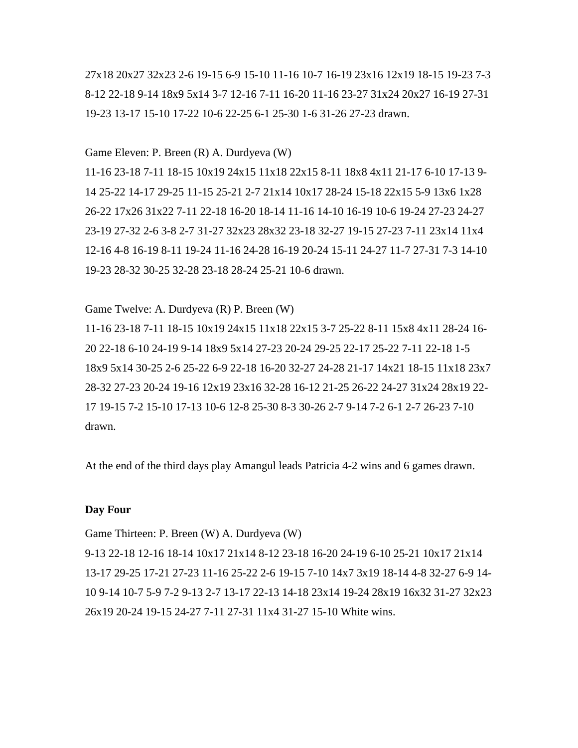27x18 20x27 32x23 2-6 19-15 6-9 15-10 11-16 10-7 16-19 23x16 12x19 18-15 19-23 7-3 8-12 22-18 9-14 18x9 5x14 3-7 12-16 7-11 16-20 11-16 23-27 31x24 20x27 16-19 27-31 19-23 13-17 15-10 17-22 10-6 22-25 6-1 25-30 1-6 31-26 27-23 drawn.

#### Game Eleven: P. Breen (R) A. Durdyeva (W)

11-16 23-18 7-11 18-15 10x19 24x15 11x18 22x15 8-11 18x8 4x11 21-17 6-10 17-13 9- 14 25-22 14-17 29-25 11-15 25-21 2-7 21x14 10x17 28-24 15-18 22x15 5-9 13x6 1x28 26-22 17x26 31x22 7-11 22-18 16-20 18-14 11-16 14-10 16-19 10-6 19-24 27-23 24-27 23-19 27-32 2-6 3-8 2-7 31-27 32x23 28x32 23-18 32-27 19-15 27-23 7-11 23x14 11x4 12-16 4-8 16-19 8-11 19-24 11-16 24-28 16-19 20-24 15-11 24-27 11-7 27-31 7-3 14-10 19-23 28-32 30-25 32-28 23-18 28-24 25-21 10-6 drawn.

# Game Twelve: A. Durdyeva (R) P. Breen (W)

11-16 23-18 7-11 18-15 10x19 24x15 11x18 22x15 3-7 25-22 8-11 15x8 4x11 28-24 16- 20 22-18 6-10 24-19 9-14 18x9 5x14 27-23 20-24 29-25 22-17 25-22 7-11 22-18 1-5 18x9 5x14 30-25 2-6 25-22 6-9 22-18 16-20 32-27 24-28 21-17 14x21 18-15 11x18 23x7 28-32 27-23 20-24 19-16 12x19 23x16 32-28 16-12 21-25 26-22 24-27 31x24 28x19 22- 17 19-15 7-2 15-10 17-13 10-6 12-8 25-30 8-3 30-26 2-7 9-14 7-2 6-1 2-7 26-23 7-10 drawn.

At the end of the third days play Amangul leads Patricia 4-2 wins and 6 games drawn.

# **Day Four**

#### Game Thirteen: P. Breen (W) A. Durdyeva (W)

9-13 22-18 12-16 18-14 10x17 21x14 8-12 23-18 16-20 24-19 6-10 25-21 10x17 21x14 13-17 29-25 17-21 27-23 11-16 25-22 2-6 19-15 7-10 14x7 3x19 18-14 4-8 32-27 6-9 14- 10 9-14 10-7 5-9 7-2 9-13 2-7 13-17 22-13 14-18 23x14 19-24 28x19 16x32 31-27 32x23 26x19 20-24 19-15 24-27 7-11 27-31 11x4 31-27 15-10 White wins.